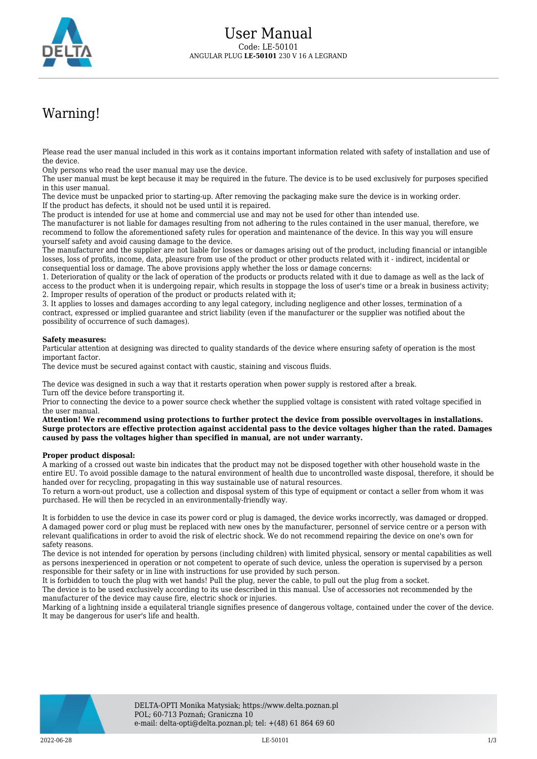

## Warning!

Please read the user manual included in this work as it contains important information related with safety of installation and use of the device.

Only persons who read the user manual may use the device.

The user manual must be kept because it may be required in the future. The device is to be used exclusively for purposes specified in this user manual.

The device must be unpacked prior to starting-up. After removing the packaging make sure the device is in working order. If the product has defects, it should not be used until it is repaired.

The product is intended for use at home and commercial use and may not be used for other than intended use.

The manufacturer is not liable for damages resulting from not adhering to the rules contained in the user manual, therefore, we recommend to follow the aforementioned safety rules for operation and maintenance of the device. In this way you will ensure yourself safety and avoid causing damage to the device.

The manufacturer and the supplier are not liable for losses or damages arising out of the product, including financial or intangible losses, loss of profits, income, data, pleasure from use of the product or other products related with it - indirect, incidental or consequential loss or damage. The above provisions apply whether the loss or damage concerns:

1. Deterioration of quality or the lack of operation of the products or products related with it due to damage as well as the lack of access to the product when it is undergoing repair, which results in stoppage the loss of user's time or a break in business activity; 2. Improper results of operation of the product or products related with it;

3. It applies to losses and damages according to any legal category, including negligence and other losses, termination of a contract, expressed or implied guarantee and strict liability (even if the manufacturer or the supplier was notified about the possibility of occurrence of such damages).

## **Safety measures:**

Particular attention at designing was directed to quality standards of the device where ensuring safety of operation is the most important factor.

The device must be secured against contact with caustic, staining and viscous fluids.

The device was designed in such a way that it restarts operation when power supply is restored after a break. Turn off the device before transporting it.

Prior to connecting the device to a power source check whether the supplied voltage is consistent with rated voltage specified in the user manual.

**Attention! We recommend using protections to further protect the device from possible overvoltages in installations. Surge protectors are effective protection against accidental pass to the device voltages higher than the rated. Damages caused by pass the voltages higher than specified in manual, are not under warranty.**

## **Proper product disposal:**

A marking of a crossed out waste bin indicates that the product may not be disposed together with other household waste in the entire EU. To avoid possible damage to the natural environment of health due to uncontrolled waste disposal, therefore, it should be handed over for recycling, propagating in this way sustainable use of natural resources.

To return a worn-out product, use a collection and disposal system of this type of equipment or contact a seller from whom it was purchased. He will then be recycled in an environmentally-friendly way.

It is forbidden to use the device in case its power cord or plug is damaged, the device works incorrectly, was damaged or dropped. A damaged power cord or plug must be replaced with new ones by the manufacturer, personnel of service centre or a person with relevant qualifications in order to avoid the risk of electric shock. We do not recommend repairing the device on one's own for safety reasons.

The device is not intended for operation by persons (including children) with limited physical, sensory or mental capabilities as well as persons inexperienced in operation or not competent to operate of such device, unless the operation is supervised by a person responsible for their safety or in line with instructions for use provided by such person.

It is forbidden to touch the plug with wet hands! Pull the plug, never the cable, to pull out the plug from a socket.

The device is to be used exclusively according to its use described in this manual. Use of accessories not recommended by the manufacturer of the device may cause fire, electric shock or injuries.

Marking of a lightning inside a equilateral triangle signifies presence of dangerous voltage, contained under the cover of the device. It may be dangerous for user's life and health.

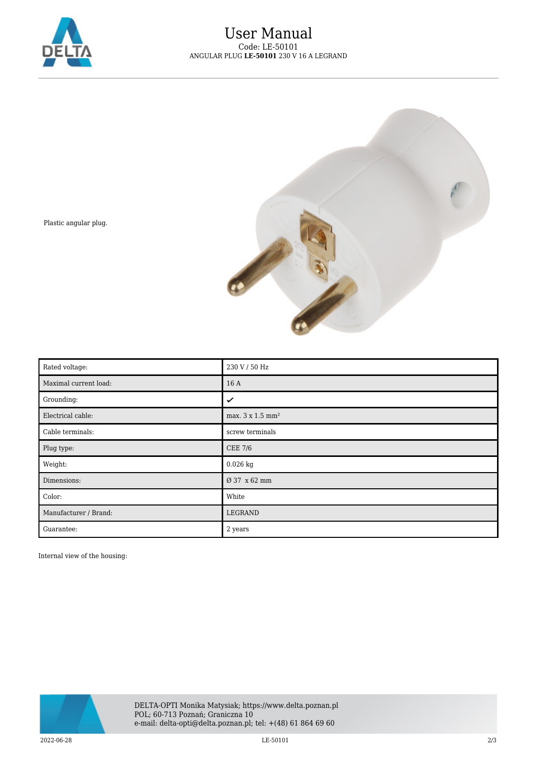



Plastic angular plug.

| Rated voltage:        | 230 V / 50 Hz                |
|-----------------------|------------------------------|
| Maximal current load: | 16A                          |
| Grounding:            | ✓                            |
| Electrical cable:     | max. 3 x 1.5 mm <sup>2</sup> |
| Cable terminals:      | screw terminals              |
| Plug type:            | <b>CEE 7/6</b>               |
| Weight:               | $0.026$ kg                   |
| Dimensions:           | Ø 37 x 62 mm                 |
| Color:                | White                        |
| Manufacturer / Brand: | LEGRAND                      |
| Guarantee:            | 2 years                      |

Internal view of the housing: